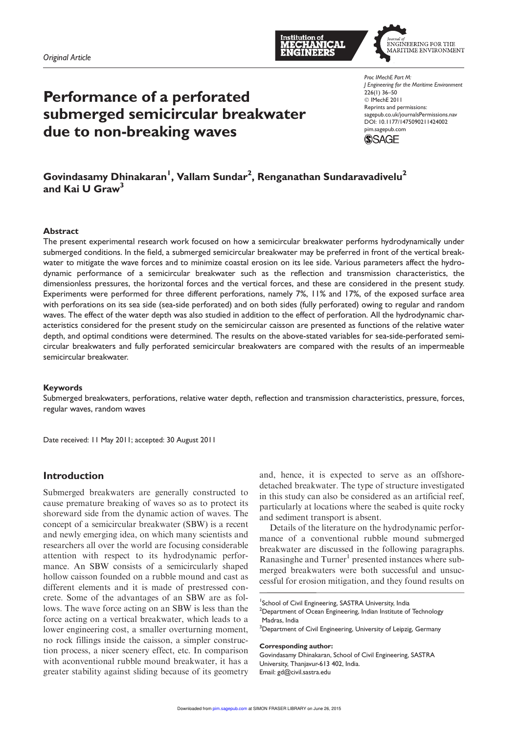



# Performance of a perforated submerged semicircular breakwater due to non-breaking waves

*Proc IMechE Part M: J Engineering for the Maritime Environment*  $226(1)$  36–50 C IMechE 2011 Reprints and permissions: sagepub.co.uk/journalsPermissions.nav DOI: 10.1177/1475090211424002 pim.sagepub.com



# Govindasamy Dhinakaran $^{\mathsf{I}}$ , Vallam Sundar $^{\mathsf{2}}$ , Renganathan Sundaravadivelu $^{\mathsf{2}}$ and Kai U Graw $^3$

#### **Abstract**

The present experimental research work focused on how a semicircular breakwater performs hydrodynamically under submerged conditions. In the field, a submerged semicircular breakwater may be preferred in front of the vertical breakwater to mitigate the wave forces and to minimize coastal erosion on its lee side. Various parameters affect the hydrodynamic performance of a semicircular breakwater such as the reflection and transmission characteristics, the dimensionless pressures, the horizontal forces and the vertical forces, and these are considered in the present study. Experiments were performed for three different perforations, namely 7%, 11% and 17%, of the exposed surface area with perforations on its sea side (sea-side perforated) and on both sides (fully perforated) owing to regular and random waves. The effect of the water depth was also studied in addition to the effect of perforation. All the hydrodynamic characteristics considered for the present study on the semicircular caisson are presented as functions of the relative water depth, and optimal conditions were determined. The results on the above-stated variables for sea-side-perforated semicircular breakwaters and fully perforated semicircular breakwaters are compared with the results of an impermeable semicircular breakwater.

#### Keywords

Submerged breakwaters, perforations, relative water depth, reflection and transmission characteristics, pressure, forces, regular waves, random waves

Date received: 11 May 2011; accepted: 30 August 2011

## Introduction

Submerged breakwaters are generally constructed to cause premature breaking of waves so as to protect its shoreward side from the dynamic action of waves. The concept of a semicircular breakwater (SBW) is a recent and newly emerging idea, on which many scientists and researchers all over the world are focusing considerable attention with respect to its hydrodynamic performance. An SBW consists of a semicircularly shaped hollow caisson founded on a rubble mound and cast as different elements and it is made of prestressed concrete. Some of the advantages of an SBW are as follows. The wave force acting on an SBW is less than the force acting on a vertical breakwater, which leads to a lower engineering cost, a smaller overturning moment, no rock fillings inside the caisson, a simpler construction process, a nicer scenery effect, etc. In comparison with aconventional rubble mound breakwater, it has a greater stability against sliding because of its geometry

and, hence, it is expected to serve as an offshoredetached breakwater. The type of structure investigated in this study can also be considered as an artificial reef, particularly at locations where the seabed is quite rocky and sediment transport is absent.

Details of the literature on the hydrodynamic performance of a conventional rubble mound submerged breakwater are discussed in the following paragraphs. Ranasinghe and Turner<sup>1</sup> presented instances where submerged breakwaters were both successful and unsuccessful for erosion mitigation, and they found results on

#### Corresponding author:

Govindasamy Dhinakaran, School of Civil Engineering, SASTRA University, Thanjavur-613 402, India. Email: gd@civil.sastra.edu

<sup>&</sup>lt;sup>1</sup>School of Civil Engineering, SASTRA University, India <sup>2</sup>Department of Ocean Engineering, Indian Institute of Technology Madras, India

<sup>&</sup>lt;sup>3</sup>Department of Civil Engineering, University of Leipzig, Germany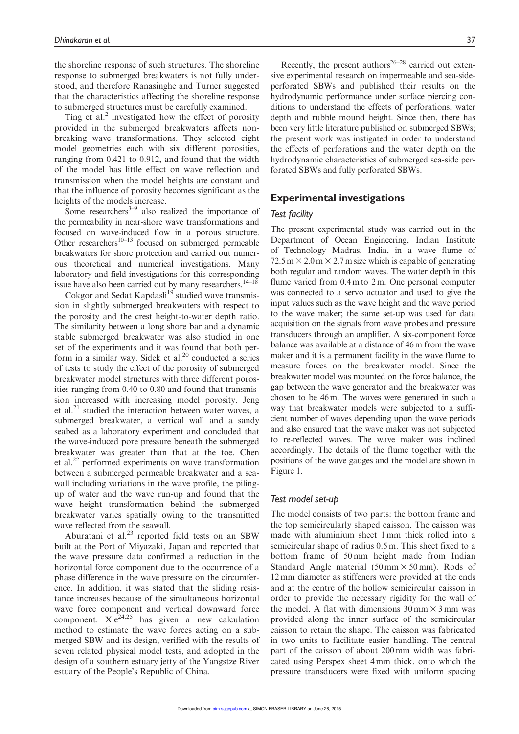the shoreline response of such structures. The shoreline response to submerged breakwaters is not fully understood, and therefore Ranasinghe and Turner suggested that the characteristics affecting the shoreline response to submerged structures must be carefully examined.

Ting et al.<sup>2</sup> investigated how the effect of porosity provided in the submerged breakwaters affects nonbreaking wave transformations. They selected eight model geometries each with six different porosities, ranging from 0.421 to 0.912, and found that the width of the model has little effect on wave reflection and transmission when the model heights are constant and that the influence of porosity becomes significant as the heights of the models increase.

Some researchers $3-9$  also realized the importance of the permeability in near-shore wave transformations and focused on wave-induced flow in a porous structure. Other researchers $10-13$  focused on submerged permeable breakwaters for shore protection and carried out numerous theoretical and numerical investigations. Many laboratory and field investigations for this corresponding issue have also been carried out by many researchers.<sup>14–18</sup>

Cokgor and Sedat Kapdasli<sup>19</sup> studied wave transmission in slightly submerged breakwaters with respect to the porosity and the crest height-to-water depth ratio. The similarity between a long shore bar and a dynamic stable submerged breakwater was also studied in one set of the experiments and it was found that both perform in a similar way. Sidek et al. $20$  conducted a series of tests to study the effect of the porosity of submerged breakwater model structures with three different porosities ranging from 0.40 to 0.80 and found that transmission increased with increasing model porosity. Jeng et al.<sup>21</sup> studied the interaction between water waves, a submerged breakwater, a vertical wall and a sandy seabed as a laboratory experiment and concluded that the wave-induced pore pressure beneath the submerged breakwater was greater than that at the toe. Chen et al.<sup>22</sup> performed experiments on wave transformation between a submerged permeable breakwater and a seawall including variations in the wave profile, the pilingup of water and the wave run-up and found that the wave height transformation behind the submerged breakwater varies spatially owing to the transmitted wave reflected from the seawall.

Aburatani et al. $^{23}$  reported field tests on an SBW built at the Port of Miyazaki, Japan and reported that the wave pressure data confirmed a reduction in the horizontal force component due to the occurrence of a phase difference in the wave pressure on the circumference. In addition, it was stated that the sliding resistance increases because of the simultaneous horizontal wave force component and vertical downward force component. Xi $e^{24,25}$  has given a new calculation method to estimate the wave forces acting on a submerged SBW and its design, verified with the results of seven related physical model tests, and adopted in the design of a southern estuary jetty of the Yangstze River estuary of the People's Republic of China.

Recently, the present authors<sup>26–28</sup> carried out extensive experimental research on impermeable and sea-sideperforated SBWs and published their results on the hydrodynamic performance under surface piercing conditions to understand the effects of perforations, water depth and rubble mound height. Since then, there has been very little literature published on submerged SBWs; the present work was instigated in order to understand the effects of perforations and the water depth on the hydrodynamic characteristics of submerged sea-side perforated SBWs and fully perforated SBWs.

## Experimental investigations

## *Test facility*

The present experimental study was carried out in the Department of Ocean Engineering, Indian Institute of Technology Madras, India, in a wave flume of  $72.5 \text{ m} \times 2.0 \text{ m} \times 2.7 \text{ m}$  size which is capable of generating both regular and random waves. The water depth in this flume varied from 0.4 m to 2 m. One personal computer was connected to a servo actuator and used to give the input values such as the wave height and the wave period to the wave maker; the same set-up was used for data acquisition on the signals from wave probes and pressure transducers through an amplifier. A six-component force balance was available at a distance of 46 m from the wave maker and it is a permanent facility in the wave flume to measure forces on the breakwater model. Since the breakwater model was mounted on the force balance, the gap between the wave generator and the breakwater was chosen to be 46 m. The waves were generated in such a way that breakwater models were subjected to a sufficient number of waves depending upon the wave periods and also ensured that the wave maker was not subjected to re-reflected waves. The wave maker was inclined accordingly. The details of the flume together with the positions of the wave gauges and the model are shown in Figure 1.

## *Test model set-up*

The model consists of two parts: the bottom frame and the top semicircularly shaped caisson. The caisson was made with aluminium sheet 1 mm thick rolled into a semicircular shape of radius 0.5 m. This sheet fixed to a bottom frame of 50 mm height made from Indian Standard Angle material  $(50 \text{ mm} \times 50 \text{ mm})$ . Rods of 12 mm diameter as stiffeners were provided at the ends and at the centre of the hollow semicircular caisson in order to provide the necessary rigidity for the wall of the model. A flat with dimensions  $30 \text{ mm} \times 3 \text{ mm}$  was provided along the inner surface of the semicircular caisson to retain the shape. The caisson was fabricated in two units to facilitate easier handling. The central part of the caisson of about 200 mm width was fabricated using Perspex sheet 4 mm thick, onto which the pressure transducers were fixed with uniform spacing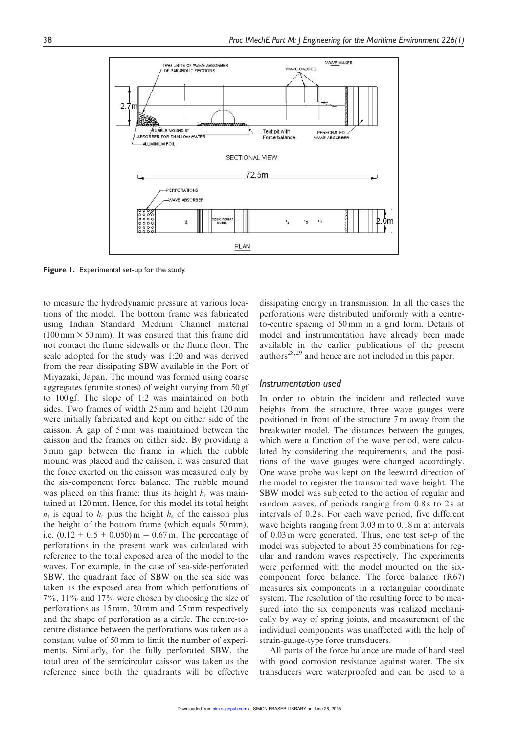

Figure 1. Experimental set-up for the study.

to measure the hydrodynamic pressure at various locations of the model. The bottom frame was fabricated using Indian Standard Medium Channel material  $(100 \text{ mm} \times 50 \text{ mm})$ . It was ensured that this frame did not contact the flume sidewalls or the flume floor. The scale adopted for the study was 1:20 and was derived from the rear dissipating SBW available in the Port of Miyazaki, Japan. The mound was formed using coarse aggregates (granite stones) of weight varying from 50 gf to 100 gf. The slope of 1:2 was maintained on both sides. Two frames of width 25 mm and height 120 mm were initially fabricated and kept on either side of the caisson. A gap of 5 mm was maintained between the caisson and the frames on either side. By providing a 5 mm gap between the frame in which the rubble mound was placed and the caisson, it was ensured that the force exerted on the caisson was measured only by the six-component force balance. The rubble mound was placed on this frame; thus its height  $h_r$  was maintained at 120 mm. Hence, for this model its total height  $h_t$  is equal to  $h_r$  plus the height  $h_s$  of the caisson plus the height of the bottom frame (which equals 50 mm), i.e.  $(0.12 + 0.5 + 0.050)$  m = 0.67 m. The percentage of perforations in the present work was calculated with reference to the total exposed area of the model to the waves. For example, in the case of sea-side-perforated SBW, the quadrant face of SBW on the sea side was taken as the exposed area from which perforations of 7%, 11% and 17% were chosen by choosing the size of perforations as 15 mm, 20 mm and 25 mm respectively and the shape of perforation as a circle. The centre-tocentre distance between the perforations was taken as a constant value of 50 mm to limit the number of experiments. Similarly, for the fully perforated SBW, the total area of the semicircular caisson was taken as the reference since both the quadrants will be effective dissipating energy in transmission. In all the cases the perforations were distributed uniformly with a centreto-centre spacing of 50 mm in a grid form. Details of model and instrumentation have already been made available in the earlier publications of the present authors<sup>28,29</sup> and hence are not included in this paper.

#### *Instrumentation used*

In order to obtain the incident and reflected wave heights from the structure, three wave gauges were positioned in front of the structure 7 m away from the breakwater model. The distances between the gauges, which were a function of the wave period, were calculated by considering the requirements, and the positions of the wave gauges were changed accordingly. One wave probe was kept on the leeward direction of the model to register the transmitted wave height. The SBW model was subjected to the action of regular and random waves, of periods ranging from 0.8 s to 2 s at intervals of 0.2 s. For each wave period, five different wave heights ranging from 0.03 m to 0.18 m at intervals of 0.03 m were generated. Thus, one test set-p of the model was subjected to about 35 combinations for regular and random waves respectively. The experiments were performed with the model mounted on the sixcomponent force balance. The force balance (R67) measures six components in a rectangular coordinate system. The resolution of the resulting force to be measured into the six components was realized mechanically by way of spring joints, and measurement of the individual components was unaffected with the help of strain-gauge-type force transducers.

All parts of the force balance are made of hard steel with good corrosion resistance against water. The six transducers were waterproofed and can be used to a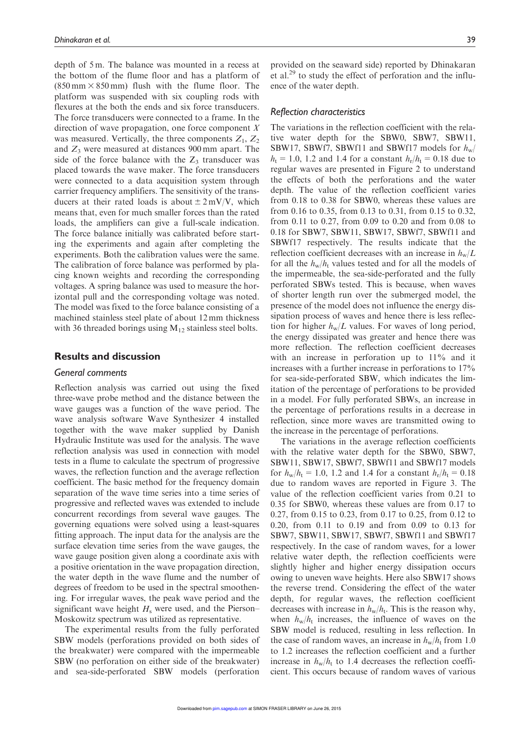depth of 5 m. The balance was mounted in a recess at the bottom of the flume floor and has a platform of  $(850 \text{ mm} \times 850 \text{ mm})$  flush with the flume floor. The platform was suspended with six coupling rods with flexures at the both the ends and six force transducers. The force transducers were connected to a frame. In the direction of wave propagation, one force component  $X$ was measured. Vertically, the three components  $Z_1$ ,  $Z_2$ and  $Z_3$  were measured at distances 900 mm apart. The side of the force balance with the  $Z_3$  transducer was placed towards the wave maker. The force transducers were connected to a data acquisition system through carrier frequency amplifiers. The sensitivity of the transducers at their rated loads is about  $\pm 2$  mV/V, which means that, even for much smaller forces than the rated loads, the amplifiers can give a full-scale indication. The force balance initially was calibrated before starting the experiments and again after completing the experiments. Both the calibration values were the same. The calibration of force balance was performed by placing known weights and recording the corresponding voltages. A spring balance was used to measure the horizontal pull and the corresponding voltage was noted. The model was fixed to the force balance consisting of a machined stainless steel plate of about 12 mm thickness with 36 threaded borings using  $M_{12}$  stainless steel bolts.

## Results and discussion

## *General comments*

Reflection analysis was carried out using the fixed three-wave probe method and the distance between the wave gauges was a function of the wave period. The wave analysis software Wave Synthesizer 4 installed together with the wave maker supplied by Danish Hydraulic Institute was used for the analysis. The wave reflection analysis was used in connection with model tests in a flume to calculate the spectrum of progressive waves, the reflection function and the average reflection coefficient. The basic method for the frequency domain separation of the wave time series into a time series of progressive and reflected waves was extended to include concurrent recordings from several wave gauges. The governing equations were solved using a least-squares fitting approach. The input data for the analysis are the surface elevation time series from the wave gauges, the wave gauge position given along a coordinate axis with a positive orientation in the wave propagation direction, the water depth in the wave flume and the number of degrees of freedom to be used in the spectral smoothening. For irregular waves, the peak wave period and the significant wave height  $H<sub>s</sub>$  were used, and the Pierson– Moskowitz spectrum was utilized as representative.

The experimental results from the fully perforated SBW models (perforations provided on both sides of the breakwater) were compared with the impermeable SBW (no perforation on either side of the breakwater) and sea-side-perforated SBW models (perforation provided on the seaward side) reported by Dhinakaran et al.<sup>29</sup> to study the effect of perforation and the influence of the water depth.

## *Reflection characteristics*

The variations in the reflection coefficient with the relative water depth for the SBW0, SBW7, SBW11, SBW17, SBWf7, SBWf11 and SBWf17 models for  $h_w$ /  $h_{t} = 1.0, 1.2$  and 1.4 for a constant  $h_{r}/h_{t} = 0.18$  due to regular waves are presented in Figure 2 to understand the effects of both the perforations and the water depth. The value of the reflection coefficient varies from 0.18 to 0.38 for SBW0, whereas these values are from 0.16 to 0.35, from 0.13 to 0.31, from 0.15 to 0.32, from 0.11 to 0.27, from 0.09 to 0.20 and from 0.08 to 0.18 for SBW7, SBW11, SBW17, SBWf7, SBWf11 and SBWf17 respectively. The results indicate that the reflection coefficient decreases with an increase in  $h_w/L$ for all the  $h_w/h_t$  values tested and for all the models of the impermeable, the sea-side-perforated and the fully perforated SBWs tested. This is because, when waves of shorter length run over the submerged model, the presence of the model does not influence the energy dissipation process of waves and hence there is less reflection for higher  $h_w/L$  values. For waves of long period, the energy dissipated was greater and hence there was more reflection. The reflection coefficient decreases with an increase in perforation up to 11% and it increases with a further increase in perforations to 17% for sea-side-perforated SBW, which indicates the limitation of the percentage of perforations to be provided in a model. For fully perforated SBWs, an increase in the percentage of perforations results in a decrease in reflection, since more waves are transmitted owing to the increase in the percentage of perforations.

The variations in the average reflection coefficients with the relative water depth for the SBW0, SBW7, SBW11, SBW17, SBWf7, SBWf11 and SBWf17 models for  $h_w/h_t = 1.0$ , 1.2 and 1.4 for a constant  $h_r/h_t = 0.18$ due to random waves are reported in Figure 3. The value of the reflection coefficient varies from 0.21 to 0.35 for SBW0, whereas these values are from 0.17 to 0.27, from 0.15 to 0.23, from 0.17 to 0.25, from 0.12 to 0.20, from 0.11 to 0.19 and from 0.09 to 0.13 for SBW7, SBW11, SBW17, SBWf7, SBWf11 and SBWf17 respectively. In the case of random waves, for a lower relative water depth, the reflection coefficients were slightly higher and higher energy dissipation occurs owing to uneven wave heights. Here also SBW17 shows the reverse trend. Considering the effect of the water depth, for regular waves, the reflection coefficient decreases with increase in  $h_w/h_t$ . This is the reason why, when  $h_w/h_t$  increases, the influence of waves on the SBW model is reduced, resulting in less reflection. In the case of random waves, an increase in  $h_w/h_t$  from 1.0 to 1.2 increases the reflection coefficient and a further increase in  $h_w/h_t$  to 1.4 decreases the reflection coefficient. This occurs because of random waves of various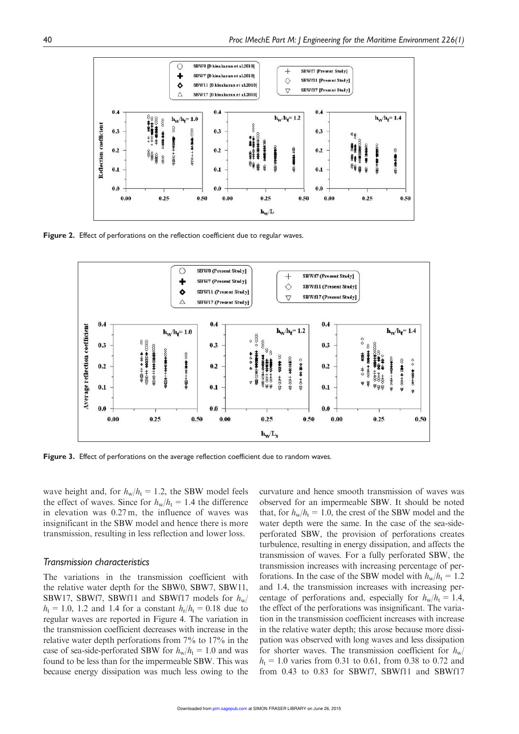

Figure 2. Effect of perforations on the reflection coefficient due to regular waves.



Figure 3. Effect of perforations on the average reflection coefficient due to random waves.

wave height and, for  $h_w/h_t = 1.2$ , the SBW model feels the effect of waves. Since for  $h_w/h_t = 1.4$  the difference in elevation was 0.27 m, the influence of waves was insignificant in the SBW model and hence there is more transmission, resulting in less reflection and lower loss.

#### *Transmission characteristics*

The variations in the transmission coefficient with the relative water depth for the SBW0, SBW7, SBW11, SBW17, SBWf7, SBWf11 and SBWf17 models for  $h_w$  $h_{t} = 1.0, 1.2$  and 1.4 for a constant  $h_{r}/h_{t} = 0.18$  due to regular waves are reported in Figure 4. The variation in the transmission coefficient decreases with increase in the relative water depth perforations from 7% to 17% in the case of sea-side-perforated SBW for  $h_w/h_t = 1.0$  and was found to be less than for the impermeable SBW. This was because energy dissipation was much less owing to the curvature and hence smooth transmission of waves was observed for an impermeable SBW. It should be noted that, for  $h_w/h_t = 1.0$ , the crest of the SBW model and the water depth were the same. In the case of the sea-sideperforated SBW, the provision of perforations creates turbulence, resulting in energy dissipation, and affects the transmission of waves. For a fully perforated SBW, the transmission increases with increasing percentage of perforations. In the case of the SBW model with  $h_w/h_t = 1.2$ and 1.4, the transmission increases with increasing percentage of perforations and, especially for  $h_w/h_t = 1.4$ , the effect of the perforations was insignificant. The variation in the transmission coefficient increases with increase in the relative water depth; this arose because more dissipation was observed with long waves and less dissipation for shorter waves. The transmission coefficient for  $h_w/$  $h_t = 1.0$  varies from 0.31 to 0.61, from 0.38 to 0.72 and from 0.43 to 0.83 for SBWf7, SBWf11 and SBWf17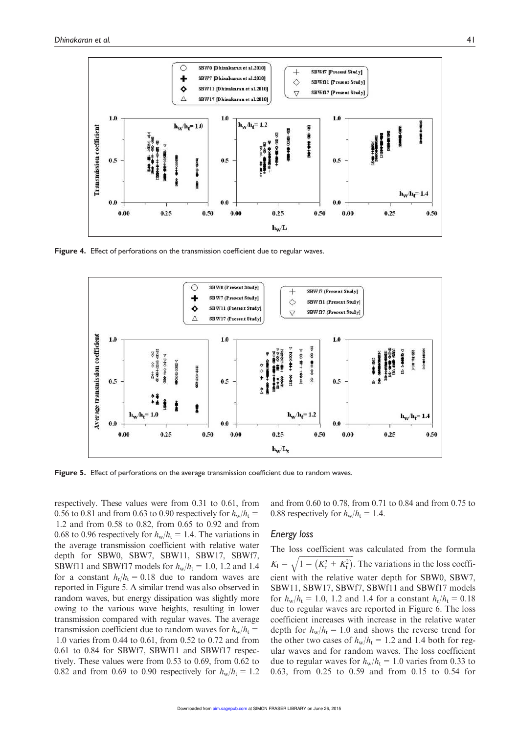

Figure 4. Effect of perforations on the transmission coefficient due to regular waves.



Figure 5. Effect of perforations on the average transmission coefficient due to random waves.

respectively. These values were from 0.31 to 0.61, from 0.56 to 0.81 and from 0.63 to 0.90 respectively for  $h_w/h_t=$ 1.2 and from 0.58 to 0.82, from 0.65 to 0.92 and from 0.68 to 0.96 respectively for  $h_w/h_t = 1.4$ . The variations in the average transmission coefficient with relative water depth for SBW0, SBW7, SBW11, SBW17, SBWf7, SBWf11 and SBWf17 models for  $h_w/h_t = 1.0$ , 1.2 and 1.4 for a constant  $h_r/h_t = 0.18$  due to random waves are reported in Figure 5. A similar trend was also observed in random waves, but energy dissipation was slightly more owing to the various wave heights, resulting in lower transmission compared with regular waves. The average transmission coefficient due to random waves for  $h_w/h_t=$ 1.0 varies from 0.44 to 0.61, from 0.52 to 0.72 and from 0.61 to 0.84 for SBWf7, SBWf11 and SBWf17 respectively. These values were from 0.53 to 0.69, from 0.62 to 0.82 and from 0.69 to 0.90 respectively for  $h_w/h_t = 1.2$  and from 0.60 to 0.78, from 0.71 to 0.84 and from 0.75 to 0.88 respectively for  $h_w/h_t = 1.4$ .

## *Energy loss*

The loss coefficient was calculated from the formula  $K_1 = \sqrt{1 - (K_\text{r}^2 + K_\text{t}^2)}$ . The variations in the loss coefficient with the relative water depth for SBW0, SBW7, SBW11, SBW17, SBWf7, SBWf11 and SBWf17 models for  $h_w/h_t = 1.0$ , 1.2 and 1.4 for a constant  $h_r/h_t = 0.18$ due to regular waves are reported in Figure 6. The loss coefficient increases with increase in the relative water depth for  $h_w/h_t = 1.0$  and shows the reverse trend for the other two cases of  $h_w/h_t = 1.2$  and 1.4 both for regular waves and for random waves. The loss coefficient due to regular waves for  $h_w/h_t = 1.0$  varies from 0.33 to 0.63, from 0.25 to 0.59 and from 0.15 to 0.54 for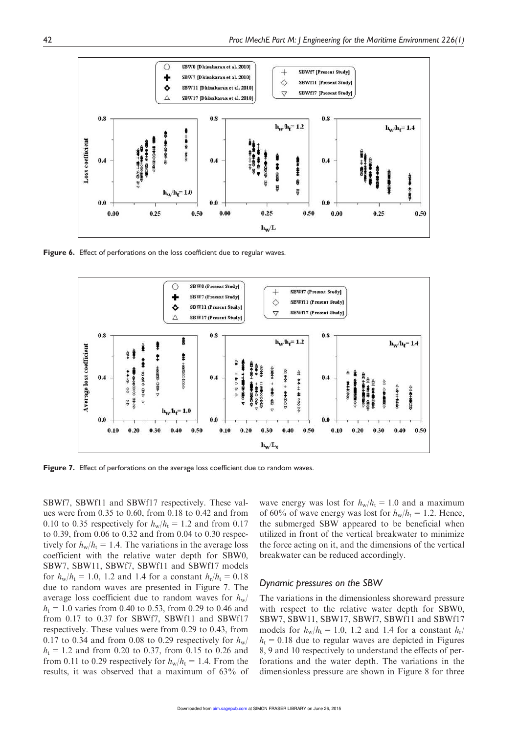

Figure 6. Effect of perforations on the loss coefficient due to regular waves.



Figure 7. Effect of perforations on the average loss coefficient due to random waves.

SBWf7, SBWf11 and SBWf17 respectively. These values were from 0.35 to 0.60, from 0.18 to 0.42 and from 0.10 to 0.35 respectively for  $h_w/h_t = 1.2$  and from 0.17 to 0.39, from 0.06 to 0.32 and from 0.04 to 0.30 respectively for  $h_w/h_t = 1.4$ . The variations in the average loss coefficient with the relative water depth for SBW0, SBW7, SBW11, SBWf7, SBWf11 and SBWf17 models for  $h_w/h_t = 1.0$ , 1.2 and 1.4 for a constant  $h_r/h_t = 0.18$ due to random waves are presented in Figure 7. The average loss coefficient due to random waves for  $h_w$  $h_t = 1.0$  varies from 0.40 to 0.53, from 0.29 to 0.46 and from 0.17 to 0.37 for SBWf7, SBWf11 and SBWf17 respectively. These values were from 0.29 to 0.43, from 0.17 to 0.34 and from 0.08 to 0.29 respectively for  $h_w$ /  $h_t = 1.2$  and from 0.20 to 0.37, from 0.15 to 0.26 and from 0.11 to 0.29 respectively for  $h_w/h_t = 1.4$ . From the results, it was observed that a maximum of 63% of

wave energy was lost for  $h_w/h_t = 1.0$  and a maximum of 60% of wave energy was lost for  $h_w/h_t = 1.2$ . Hence, the submerged SBW appeared to be beneficial when utilized in front of the vertical breakwater to minimize the force acting on it, and the dimensions of the vertical breakwater can be reduced accordingly.

## *Dynamic pressures on the SBW*

The variations in the dimensionless shoreward pressure with respect to the relative water depth for SBW0, SBW7, SBW11, SBW17, SBWf7, SBWf11 and SBWf17 models for  $h_w/h_t = 1.0$ , 1.2 and 1.4 for a constant  $h_r/$  $h_t = 0.18$  due to regular waves are depicted in Figures 8, 9 and 10 respectively to understand the effects of perforations and the water depth. The variations in the dimensionless pressure are shown in Figure 8 for three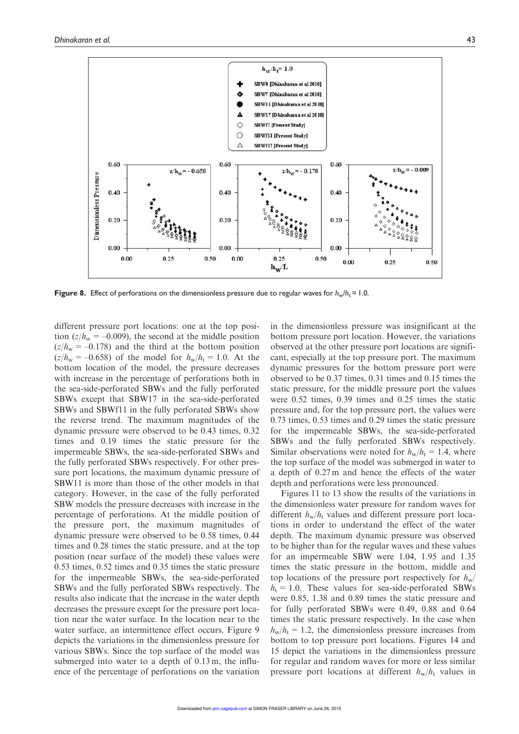Dimensionless Pressure

 $0.00$ 

0.00

 $0.25$ 



 $0.25$ 

 $h_{\rm W}L$ 

 $0.00$ 

 $0.00$ 

0.25

 $0.50$ 

0.50

**Figure 8.** Effect of perforations on the dimensionless pressure due to regular waves for  $h_w/h_r = 1.0$ .

0.50

 $0.00$ 

0.00

different pressure port locations: one at the top position ( $z/h_w = -0.009$ ), the second at the middle position  $(z/h_w = -0.178)$  and the third at the bottom position  $(z/h_w = -0.658)$  of the model for  $h_w/h_t = 1.0$ . At the bottom location of the model, the pressure decreases with increase in the percentage of perforations both in the sea-side-perforated SBWs and the fully perforated SBWs except that SBW17 in the sea-side-perforated SBWs and SBWf11 in the fully perforated SBWs show the reverse trend. The maximum magnitudes of the dynamic pressure were observed to be 0.43 times, 0.32 times and 0.19 times the static pressure for the impermeable SBWs, the sea-side-perforated SBWs and the fully perforated SBWs respectively. For other pressure port locations, the maximum dynamic pressure of SBW11 is more than those of the other models in that category. However, in the case of the fully perforated SBW models the pressure decreases with increase in the percentage of perforations. At the middle position of the pressure port, the maximum magnitudes of dynamic pressure were observed to be 0.58 times, 0.44 times and 0.28 times the static pressure, and at the top position (near surface of the model) these values were 0.53 times, 0.52 times and 0.35 times the static pressure for the impermeable SBWs, the sea-side-perforated SBWs and the fully perforated SBWs respectively. The results also indicate that the increase in the water depth decreases the pressure except for the pressure port location near the water surface. In the location near to the water surface, an intermittence effect occurs. Figure 9 depicts the variations in the dimensionless pressure for various SBWs. Since the top surface of the model was submerged into water to a depth of 0.13 m, the influence of the percentage of perforations on the variation in the dimensionless pressure was insignificant at the bottom pressure port location. However, the variations observed at the other pressure port locations are significant, especially at the top pressure port. The maximum dynamic pressures for the bottom pressure port were observed to be 0.37 times, 0.31 times and 0.15 times the static pressure, for the middle pressure port the values were 0.52 times, 0.39 times and 0.25 times the static pressure and, for the top pressure port, the values were 0.73 times, 0.53 times and 0.29 times the static pressure for the impermeable SBWs, the sea-side-perforated SBWs and the fully perforated SBWs respectively. Similar observations were noted for  $h_w/h_t = 1.4$ , where the top surface of the model was submerged in water to a depth of 0.27 m and hence the effects of the water depth and perforations were less pronounced.

Figures 11 to 13 show the results of the variations in the dimensionless water pressure for random waves for different  $h_w/h_t$  values and different pressure port locations in order to understand the effect of the water depth. The maximum dynamic pressure was observed to be higher than for the regular waves and these values for an impermeable SBW were 1.04, 1.95 and 1.35 times the static pressure in the bottom, middle and top locations of the pressure port respectively for  $h_w$  $h_t = 1.0$ . These values for sea-side-perforated SBWs were 0.85, 1.38 and 0.89 times the static pressure and for fully perforated SBWs were 0.49, 0.88 and 0.64 times the static pressure respectively. In the case when  $h_w/h_t = 1.2$ , the dimensionless pressure increases from bottom to top pressure port locations. Figures 14 and 15 depict the variations in the dimensionless pressure for regular and random waves for more or less similar pressure port locations at different  $h_w/h_t$  values in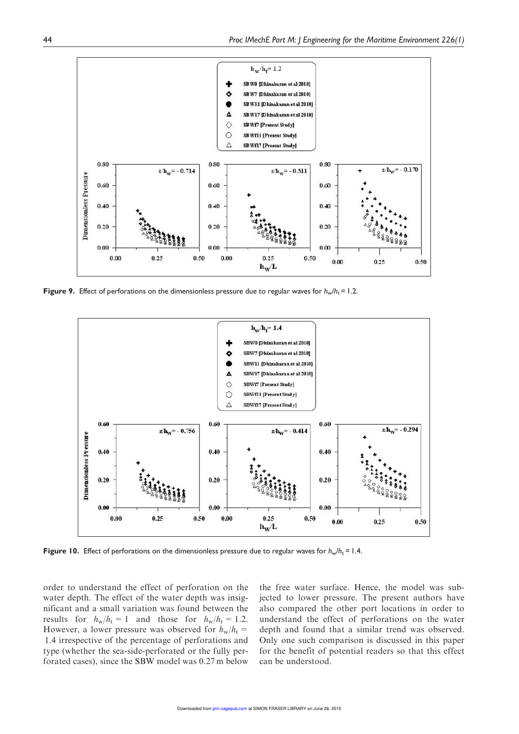

**Figure 9.** Effect of perforations on the dimensionless pressure due to regular waves for  $h_w/h_r = 1.2$ .



**Figure 10.** Effect of perforations on the dimensionless pressure due to regular waves for  $h_w/h_r = 1.4$ .

order to understand the effect of perforation on the water depth. The effect of the water depth was insignificant and a small variation was found between the results for  $h_w/h_t = 1$  and those for  $h_w/h_t = 1.2$ . However, a lower pressure was observed for  $h_w/h_t=$ 1.4 irrespective of the percentage of perforations and type (whether the sea-side-perforated or the fully perforated cases), since the SBW model was 0.27 m below

the free water surface. Hence, the model was subjected to lower pressure. The present authors have also compared the other port locations in order to understand the effect of perforations on the water depth and found that a similar trend was observed. Only one such comparison is discussed in this paper for the benefit of potential readers so that this effect can be understood.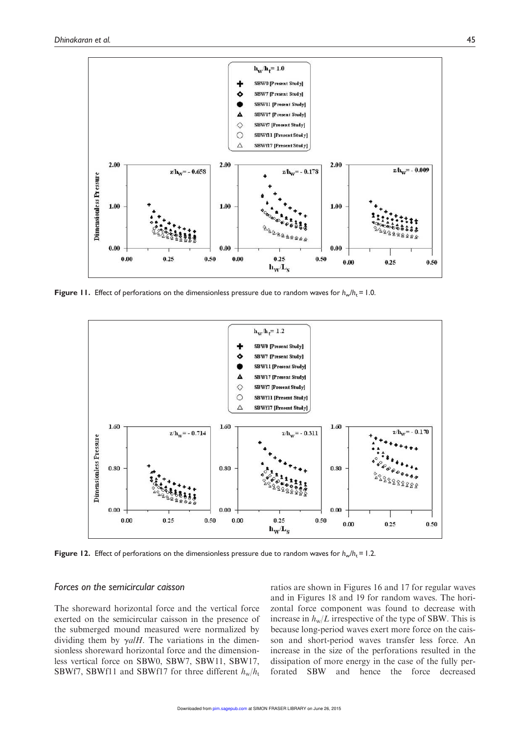

**Figure 11.** Effect of perforations on the dimensionless pressure due to random waves for  $h_w/h_t = 1.0$ .



**Figure 12.** Effect of perforations on the dimensionless pressure due to random waves for  $h_w/h_t = 1.2$ .

## *Forces on the semicircular caisson*

The shoreward horizontal force and the vertical force exerted on the semicircular caisson in the presence of the submerged mound measured were normalized by dividing them by  $\gamma a/H$ . The variations in the dimensionless shoreward horizontal force and the dimensionless vertical force on SBW0, SBW7, SBW11, SBW17, SBWf7, SBWf11 and SBWf17 for three different  $h_w/h_t$  ratios are shown in Figures 16 and 17 for regular waves and in Figures 18 and 19 for random waves. The horizontal force component was found to decrease with increase in  $h_w/L$  irrespective of the type of SBW. This is because long-period waves exert more force on the caisson and short-period waves transfer less force. An increase in the size of the perforations resulted in the dissipation of more energy in the case of the fully perforated SBW and hence the force decreased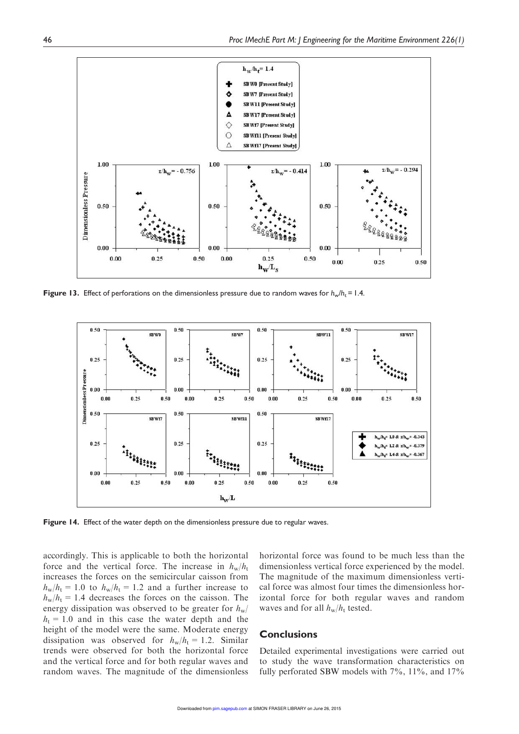

**Figure 13.** Effect of perforations on the dimensionless pressure due to random waves for  $h_w/h_r = 1.4$ .



Figure 14. Effect of the water depth on the dimensionless pressure due to regular waves.

accordingly. This is applicable to both the horizontal force and the vertical force. The increase in  $h_w/h_t$ increases the forces on the semicircular caisson from  $h_w/h_t = 1.0$  to  $h_w/h_t = 1.2$  and a further increase to  $h_w/h_t = 1.4$  decreases the forces on the caisson. The energy dissipation was observed to be greater for  $h_w$ /  $h_t = 1.0$  and in this case the water depth and the height of the model were the same. Moderate energy dissipation was observed for  $h_w/h_t = 1.2$ . Similar trends were observed for both the horizontal force and the vertical force and for both regular waves and random waves. The magnitude of the dimensionless horizontal force was found to be much less than the dimensionless vertical force experienced by the model. The magnitude of the maximum dimensionless vertical force was almost four times the dimensionless horizontal force for both regular waves and random waves and for all  $h_w/h_t$  tested.

## **Conclusions**

Detailed experimental investigations were carried out to study the wave transformation characteristics on fully perforated SBW models with 7%, 11%, and 17%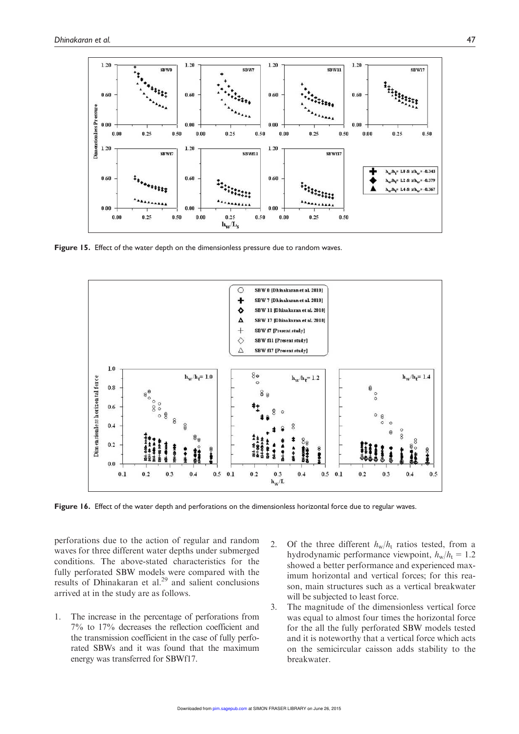

Figure 15. Effect of the water depth on the dimensionless pressure due to random waves.



Figure 16. Effect of the water depth and perforations on the dimensionless horizontal force due to regular waves.

perforations due to the action of regular and random waves for three different water depths under submerged conditions. The above-stated characteristics for the fully perforated SBW models were compared with the results of Dhinakaran et al. $^{29}$  and salient conclusions arrived at in the study are as follows.

- 1. The increase in the percentage of perforations from 7% to 17% decreases the reflection coefficient and the transmission coefficient in the case of fully perforated SBWs and it was found that the maximum energy was transferred for SBWf17.
- 2. Of the three different  $h_w/h_t$  ratios tested, from a hydrodynamic performance viewpoint,  $h_w/h_t = 1.2$ showed a better performance and experienced maximum horizontal and vertical forces; for this reason, main structures such as a vertical breakwater will be subjected to least force.
- 3. The magnitude of the dimensionless vertical force was equal to almost four times the horizontal force for the all the fully perforated SBW models tested and it is noteworthy that a vertical force which acts on the semicircular caisson adds stability to the breakwater.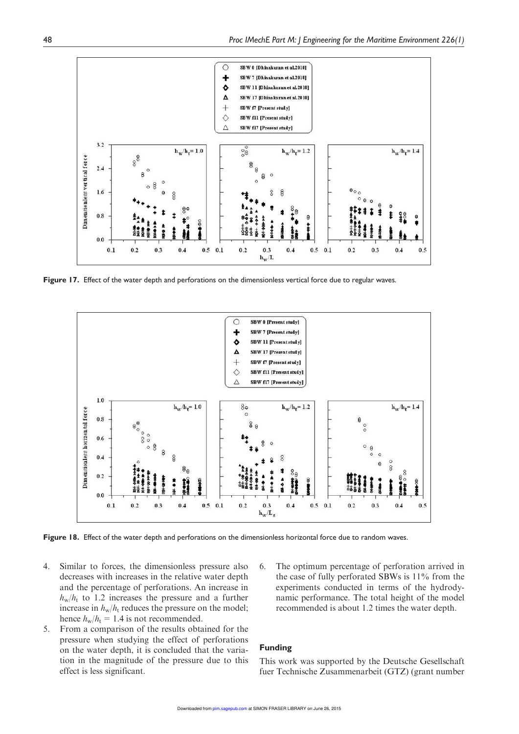

Figure 17. Effect of the water depth and perforations on the dimensionless vertical force due to regular waves.



Figure 18. Effect of the water depth and perforations on the dimensionless horizontal force due to random waves.

- 4. Similar to forces, the dimensionless pressure also decreases with increases in the relative water depth and the percentage of perforations. An increase in  $h_{\rm w}/h_{\rm t}$  to 1.2 increases the pressure and a further increase in  $h_w/h_t$  reduces the pressure on the model; hence  $h_w/h_t = 1.4$  is not recommended.
- 5. From a comparison of the results obtained for the pressure when studying the effect of perforations on the water depth, it is concluded that the variation in the magnitude of the pressure due to this effect is less significant.
- 6. The optimum percentage of perforation arrived in the case of fully perforated SBWs is 11% from the experiments conducted in terms of the hydrodynamic performance. The total height of the model recommended is about 1.2 times the water depth.

## Funding

This work was supported by the Deutsche Gesellschaft fuer Technische Zusammenarbeit (GTZ) (grant number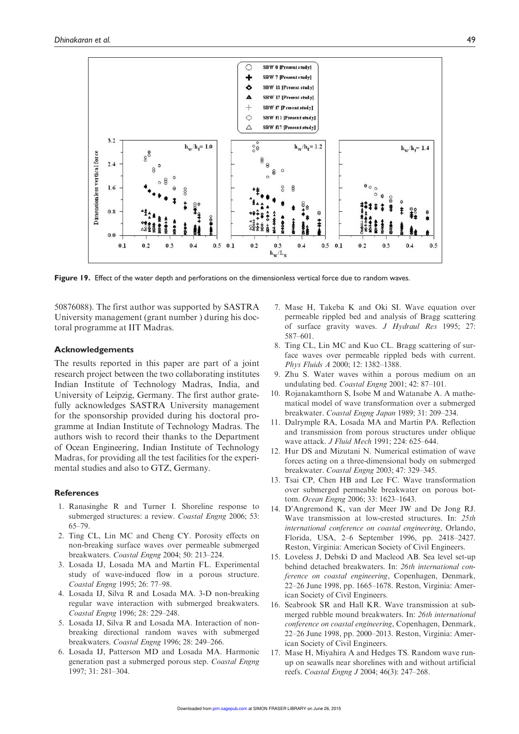

Figure 19. Effect of the water depth and perforations on the dimensionless vertical force due to random waves.

50876088). The first author was supported by SASTRA University management (grant number ) during his doctoral programme at IIT Madras.

#### Acknowledgements

The results reported in this paper are part of a joint research project between the two collaborating institutes Indian Institute of Technology Madras, India, and University of Leipzig, Germany. The first author gratefully acknowledges SASTRA University management for the sponsorship provided during his doctoral programme at Indian Institute of Technology Madras. The authors wish to record their thanks to the Department of Ocean Engineering, Indian Institute of Technology Madras, for providing all the test facilities for the experimental studies and also to GTZ, Germany.

#### References

- 1. Ranasinghe R and Turner I. Shoreline response to submerged structures: a review. Coastal Engng 2006; 53: 65–79.
- 2. Ting CL, Lin MC and Cheng CY. Porosity effects on non-breaking surface waves over permeable submerged breakwaters. Coastal Engng 2004; 50: 213–224.
- 3. Losada IJ, Losada MA and Martin FL. Experimental study of wave-induced flow in a porous structure. Coastal Engng 1995; 26: 77–98.
- 4. Losada IJ, Silva R and Losada MA. 3-D non-breaking regular wave interaction with submerged breakwaters. Coastal Engng 1996; 28: 229–248.
- 5. Losada IJ, Silva R and Losada MA. Interaction of nonbreaking directional random waves with submerged breakwaters. Coastal Engng 1996; 28: 249–266.
- 6. Losada IJ, Patterson MD and Losada MA. Harmonic generation past a submerged porous step. Coastal Engng 1997; 31: 281–304.
- 7. Mase H, Takeba K and Oki SI. Wave equation over permeable rippled bed and analysis of Bragg scattering of surface gravity waves. J Hydraul Res 1995; 27: 587–601.
- 8. Ting CL, Lin MC and Kuo CL. Bragg scattering of surface waves over permeable rippled beds with current. Phys Fluids A 2000; 12: 1382–1388.
- 9. Zhu S. Water waves within a porous medium on an undulating bed. Coastal Engng 2001; 42: 87–101.
- 10. Rojanakamthorn S, Isobe M and Watanabe A. A mathematical model of wave transformation over a submerged breakwater. Coastal Engng Japan 1989; 31: 209–234.
- 11. Dalrymple RA, Losada MA and Martin PA. Reflection and transmission from porous structures under oblique wave attack. J Fluid Mech 1991; 224: 625–644.
- 12. Hur DS and Mizutani N. Numerical estimation of wave forces acting on a three-dimensional body on submerged breakwater. Coastal Engng 2003; 47: 329–345.
- 13. Tsai CP, Chen HB and Lee FC. Wave transformation over submerged permeable breakwater on porous bottom. Ocean Engng 2006; 33: 1623–1643.
- 14. D'Angremond K, van der Meer JW and De Jong RJ. Wave transmission at low-crested structures. In: 25th international conference on coastal engineering, Orlando, Florida, USA, 2–6 September 1996, pp. 2418–2427. Reston, Virginia: American Society of Civil Engineers.
- 15. Loveless J, Debski D and Macleod AB. Sea level set-up behind detached breakwaters. In: 26th international conference on coastal engineering, Copenhagen, Denmark, 22–26 June 1998, pp. 1665–1678. Reston, Virginia: American Society of Civil Engineers.
- 16. Seabrook SR and Hall KR. Wave transmission at submerged rubble mound breakwaters. In: 26th international conference on coastal engineering, Copenhagen, Denmark, 22–26 June 1998, pp. 2000–2013. Reston, Virginia: American Society of Civil Engineers.
- 17. Mase H, Miyahira A and Hedges TS. Random wave runup on seawalls near shorelines with and without artificial reefs. Coastal Engng J 2004; 46(3): 247–268.